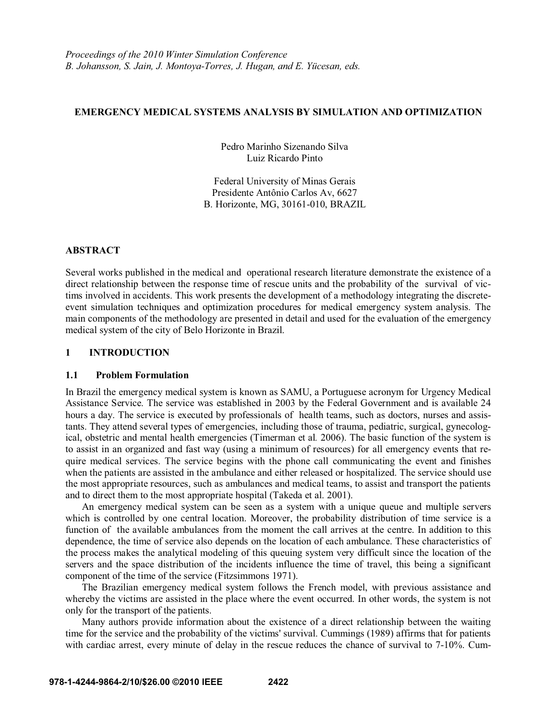### **EMERGENCY MEDICAL SYSTEMS ANALYSIS BY SIMULATION AND OPTIMIZATION**

Pedro Marinho Sizenando Silva Luiz Ricardo Pinto

Federal University of Minas Gerais Presidente Antônio Carlos Av, 6627 B. Horizonte, MG, 30161-010, BRAZIL

# **ABSTRACT**

Several works published in the medical and operational research literature demonstrate the existence of a direct relationship between the response time of rescue units and the probability of the survival of victims involved in accidents. This work presents the development of a methodology integrating the discreteevent simulation techniques and optimization procedures for medical emergency system analysis. The main components of the methodology are presented in detail and used for the evaluation of the emergency medical system of the city of Belo Horizonte in Brazil.

### **1 INTRODUCTION**

### **1.1 Problem Formulation**

In Brazil the emergency medical system is known as SAMU, a Portuguese acronym for Urgency Medical Assistance Service. The service was established in 2003 by the Federal Government and is available 24 hours a day. The service is executed by professionals of health teams, such as doctors, nurses and assistants. They attend several types of emergencies, including those of trauma, pediatric, surgical, gynecological, obstetric and mental health emergencies (Timerman et al*.* 2006). The basic function of the system is to assist in an organized and fast way (using a minimum of resources) for all emergency events that require medical services. The service begins with the phone call communicating the event and finishes when the patients are assisted in the ambulance and either released or hospitalized. The service should use the most appropriate resources, such as ambulances and medical teams, to assist and transport the patients and to direct them to the most appropriate hospital (Takeda et al. 2001).

 An emergency medical system can be seen as a system with a unique queue and multiple servers which is controlled by one central location. Moreover, the probability distribution of time service is a function of the available ambulances from the moment the call arrives at the centre. In addition to this dependence, the time of service also depends on the location of each ambulance. These characteristics of the process makes the analytical modeling of this queuing system very difficult since the location of the servers and the space distribution of the incidents influence the time of travel, this being a significant component of the time of the service (Fitzsimmons 1971).

 The Brazilian emergency medical system follows the French model, with previous assistance and whereby the victims are assisted in the place where the event occurred. In other words, the system is not only for the transport of the patients.

 Many authors provide information about the existence of a direct relationship between the waiting time for the service and the probability of the victims' survival. Cummings (1989) affirms that for patients with cardiac arrest, every minute of delay in the rescue reduces the chance of survival to 7-10%. Cum-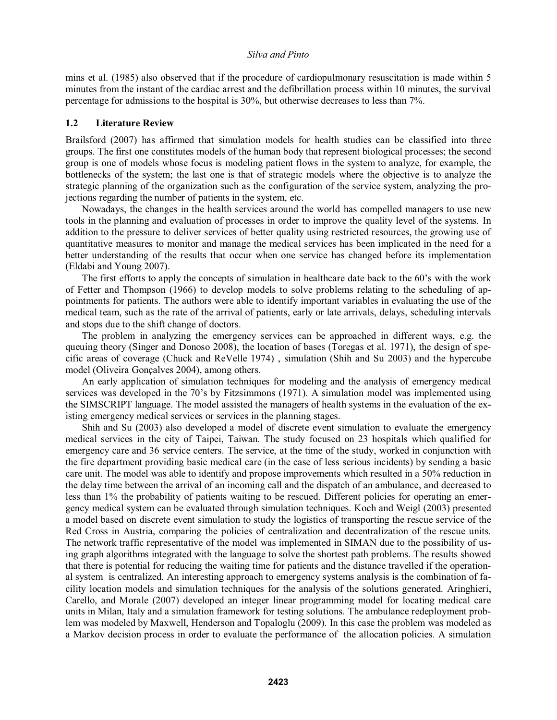mins et al. (1985) also observed that if the procedure of cardiopulmonary resuscitation is made within 5 minutes from the instant of the cardiac arrest and the defibrillation process within 10 minutes, the survival percentage for admissions to the hospital is 30%, but otherwise decreases to less than 7%.

#### **1.2 Literature Review**

Brailsford (2007) has affirmed that simulation models for health studies can be classified into three groups. The first one constitutes models of the human body that represent biological processes; the second group is one of models whose focus is modeling patient flows in the system to analyze, for example, the bottlenecks of the system; the last one is that of strategic models where the objective is to analyze the strategic planning of the organization such as the configuration of the service system, analyzing the projections regarding the number of patients in the system, etc.

 Nowadays, the changes in the health services around the world has compelled managers to use new tools in the planning and evaluation of processes in order to improve the quality level of the systems. In addition to the pressure to deliver services of better quality using restricted resources, the growing use of quantitative measures to monitor and manage the medical services has been implicated in the need for a better understanding of the results that occur when one service has changed before its implementation (Eldabi and Young 2007).

The first efforts to apply the concepts of simulation in healthcare date back to the 60's with the work of Fetter and Thompson (1966) to develop models to solve problems relating to the scheduling of appointments for patients. The authors were able to identify important variables in evaluating the use of the medical team, such as the rate of the arrival of patients, early or late arrivals, delays, scheduling intervals and stops due to the shift change of doctors.

 The problem in analyzing the emergency services can be approached in different ways, e.g. the queuing theory (Singer and Donoso 2008), the location of bases (Toregas et al. 1971), the design of specific areas of coverage (Chuck and ReVelle 1974) , simulation (Shih and Su 2003) and the hypercube model (Oliveira Gonçalves 2004), among others.

 An early application of simulation techniques for modeling and the analysis of emergency medical services was developed in the 70's by Fitzsimmons (1971). A simulation model was implemented using the SIMSCRIPT language. The model assisted the managers of health systems in the evaluation of the existing emergency medical services or services in the planning stages.

 Shih and Su (2003) also developed a model of discrete event simulation to evaluate the emergency medical services in the city of Taipei, Taiwan. The study focused on 23 hospitals which qualified for emergency care and 36 service centers. The service, at the time of the study, worked in conjunction with the fire department providing basic medical care (in the case of less serious incidents) by sending a basic care unit. The model was able to identify and propose improvements which resulted in a 50% reduction in the delay time between the arrival of an incoming call and the dispatch of an ambulance, and decreased to less than 1% the probability of patients waiting to be rescued. Different policies for operating an emergency medical system can be evaluated through simulation techniques. Koch and Weigl (2003) presented a model based on discrete event simulation to study the logistics of transporting the rescue service of the Red Cross in Austria, comparing the policies of centralization and decentralization of the rescue units. The network traffic representative of the model was implemented in SIMAN due to the possibility of using graph algorithms integrated with the language to solve the shortest path problems. The results showed that there is potential for reducing the waiting time for patients and the distance travelled if the operational system is centralized. An interesting approach to emergency systems analysis is the combination of facility location models and simulation techniques for the analysis of the solutions generated. Aringhieri, Carello, and Morale (2007) developed an integer linear programming model for locating medical care units in Milan, Italy and a simulation framework for testing solutions. The ambulance redeployment problem was modeled by Maxwell, Henderson and Topaloglu (2009). In this case the problem was modeled as a Markov decision process in order to evaluate the performance of the allocation policies. A simulation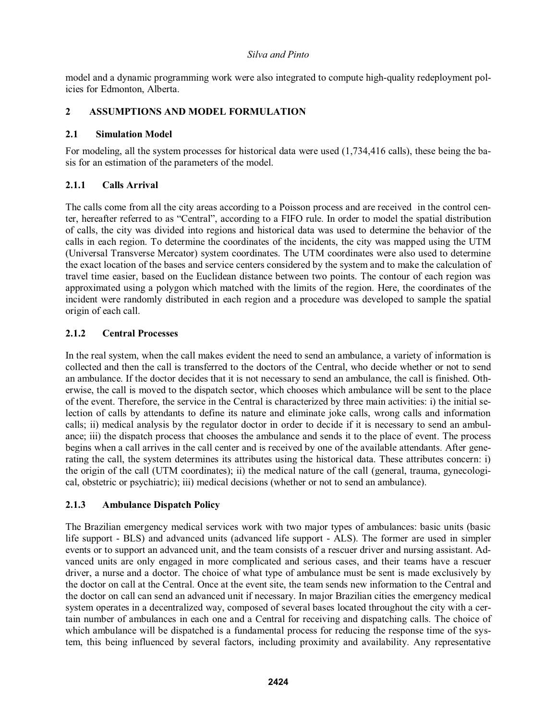model and a dynamic programming work were also integrated to compute high-quality redeployment policies for Edmonton, Alberta.

# **2 ASSUMPTIONS AND MODEL FORMULATION**

## **2.1 Simulation Model**

For modeling, all the system processes for historical data were used (1,734,416 calls), these being the basis for an estimation of the parameters of the model.

# **2.1.1 Calls Arrival**

The calls come from all the city areas according to a Poisson process and are received in the control center, hereafter referred to as "Central", according to a FIFO rule. In order to model the spatial distribution of calls, the city was divided into regions and historical data was used to determine the behavior of the calls in each region. To determine the coordinates of the incidents, the city was mapped using the UTM (Universal Transverse Mercator) system coordinates. The UTM coordinates were also used to determine the exact location of the bases and service centers considered by the system and to make the calculation of travel time easier, based on the Euclidean distance between two points. The contour of each region was approximated using a polygon which matched with the limits of the region. Here, the coordinates of the incident were randomly distributed in each region and a procedure was developed to sample the spatial origin of each call.

# **2.1.2 Central Processes**

In the real system, when the call makes evident the need to send an ambulance, a variety of information is collected and then the call is transferred to the doctors of the Central, who decide whether or not to send an ambulance. If the doctor decides that it is not necessary to send an ambulance, the call is finished. Otherwise, the call is moved to the dispatch sector, which chooses which ambulance will be sent to the place of the event. Therefore, the service in the Central is characterized by three main activities: i) the initial selection of calls by attendants to define its nature and eliminate joke calls, wrong calls and information calls; ii) medical analysis by the regulator doctor in order to decide if it is necessary to send an ambulance; iii) the dispatch process that chooses the ambulance and sends it to the place of event. The process begins when a call arrives in the call center and is received by one of the available attendants. After generating the call, the system determines its attributes using the historical data. These attributes concern: i) the origin of the call (UTM coordinates); ii) the medical nature of the call (general, trauma, gynecological, obstetric or psychiatric); iii) medical decisions (whether or not to send an ambulance).

## **2.1.3 Ambulance Dispatch Policy**

The Brazilian emergency medical services work with two major types of ambulances: basic units (basic life support - BLS) and advanced units (advanced life support - ALS). The former are used in simpler events or to support an advanced unit, and the team consists of a rescuer driver and nursing assistant. Advanced units are only engaged in more complicated and serious cases, and their teams have a rescuer driver, a nurse and a doctor. The choice of what type of ambulance must be sent is made exclusively by the doctor on call at the Central. Once at the event site, the team sends new information to the Central and the doctor on call can send an advanced unit if necessary. In major Brazilian cities the emergency medical system operates in a decentralized way, composed of several bases located throughout the city with a certain number of ambulances in each one and a Central for receiving and dispatching calls. The choice of which ambulance will be dispatched is a fundamental process for reducing the response time of the system, this being influenced by several factors, including proximity and availability. Any representative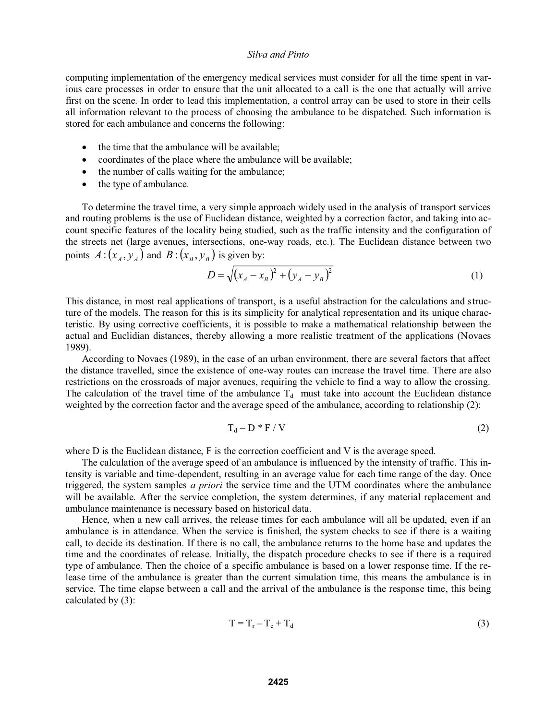computing implementation of the emergency medical services must consider for all the time spent in various care processes in order to ensure that the unit allocated to a call is the one that actually will arrive first on the scene. In order to lead this implementation, a control array can be used to store in their cells all information relevant to the process of choosing the ambulance to be dispatched. Such information is stored for each ambulance and concerns the following:

- the time that the ambulance will be available;
- coordinates of the place where the ambulance will be available;
- the number of calls waiting for the ambulance;
- the type of ambulance.

 To determine the travel time, a very simple approach widely used in the analysis of transport services and routing problems is the use of Euclidean distance, weighted by a correction factor, and taking into account specific features of the locality being studied, such as the traffic intensity and the configuration of the streets net (large avenues, intersections, one-way roads, etc.). The Euclidean distance between two points  $A: (x_A, y_A)$  and  $B: (x_B, y_B)$  is given by:

$$
D = \sqrt{(x_A - x_B)^2 + (y_A - y_B)^2}
$$
 (1)

This distance, in most real applications of transport, is a useful abstraction for the calculations and structure of the models. The reason for this is its simplicity for analytical representation and its unique characteristic. By using corrective coefficients, it is possible to make a mathematical relationship between the actual and Euclidian distances, thereby allowing a more realistic treatment of the applications (Novaes 1989).

 According to Novaes (1989), in the case of an urban environment, there are several factors that affect the distance travelled, since the existence of one-way routes can increase the travel time. There are also restrictions on the crossroads of major avenues, requiring the vehicle to find a way to allow the crossing. The calculation of the travel time of the ambulance  $T_d$  must take into account the Euclidean distance weighted by the correction factor and the average speed of the ambulance, according to relationship (2):

$$
T_d = D * F / V \tag{2}
$$

where D is the Euclidean distance, F is the correction coefficient and V is the average speed.

 The calculation of the average speed of an ambulance is influenced by the intensity of traffic. This intensity is variable and time-dependent, resulting in an average value for each time range of the day. Once triggered, the system samples *a priori* the service time and the UTM coordinates where the ambulance will be available. After the service completion, the system determines, if any material replacement and ambulance maintenance is necessary based on historical data.

 Hence, when a new call arrives, the release times for each ambulance will all be updated, even if an ambulance is in attendance. When the service is finished, the system checks to see if there is a waiting call, to decide its destination. If there is no call, the ambulance returns to the home base and updates the time and the coordinates of release. Initially, the dispatch procedure checks to see if there is a required type of ambulance. Then the choice of a specific ambulance is based on a lower response time. If the release time of the ambulance is greater than the current simulation time, this means the ambulance is in service. The time elapse between a call and the arrival of the ambulance is the response time, this being calculated by (3):

$$
T = T_r - T_c + T_d \tag{3}
$$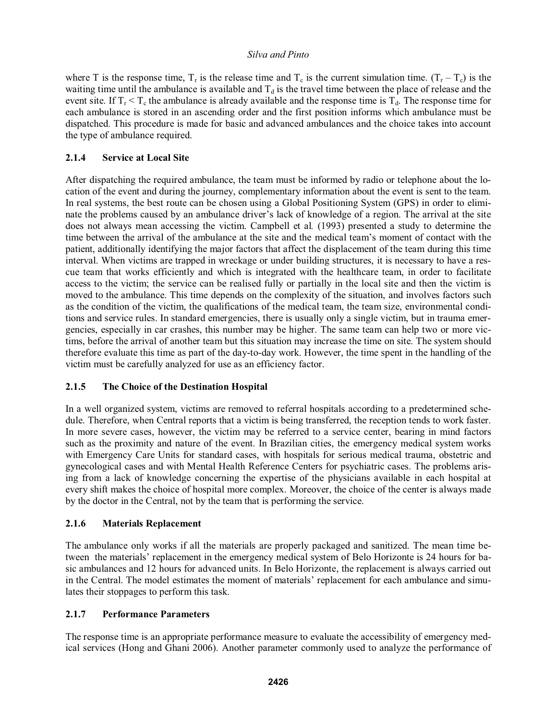where T is the response time,  $T_r$  is the release time and  $T_c$  is the current simulation time.  $(T_r - T_c)$  is the waiting time until the ambulance is available and  $T_d$  is the travel time between the place of release and the event site. If  $T_r \leq T_c$  the ambulance is already available and the response time is  $T_d$ . The response time for each ambulance is stored in an ascending order and the first position informs which ambulance must be dispatched. This procedure is made for basic and advanced ambulances and the choice takes into account the type of ambulance required.

# **2.1.4 Service at Local Site**

After dispatching the required ambulance, the team must be informed by radio or telephone about the location of the event and during the journey, complementary information about the event is sent to the team. In real systems, the best route can be chosen using a Global Positioning System (GPS) in order to eliminate the problems caused by an ambulance driver's lack of knowledge of a region. The arrival at the site does not always mean accessing the victim. Campbell et al*.* (1993) presented a study to determine the time between the arrival of the ambulance at the site and the medical team's moment of contact with the patient, additionally identifying the major factors that affect the displacement of the team during this time interval. When victims are trapped in wreckage or under building structures, it is necessary to have a rescue team that works efficiently and which is integrated with the healthcare team, in order to facilitate access to the victim; the service can be realised fully or partially in the local site and then the victim is moved to the ambulance. This time depends on the complexity of the situation, and involves factors such as the condition of the victim, the qualifications of the medical team, the team size, environmental conditions and service rules. In standard emergencies, there is usually only a single victim, but in trauma emergencies, especially in car crashes, this number may be higher. The same team can help two or more victims, before the arrival of another team but this situation may increase the time on site. The system should therefore evaluate this time as part of the day-to-day work. However, the time spent in the handling of the victim must be carefully analyzed for use as an efficiency factor.

## **2.1.5 The Choice of the Destination Hospital**

In a well organized system, victims are removed to referral hospitals according to a predetermined schedule. Therefore, when Central reports that a victim is being transferred, the reception tends to work faster. In more severe cases, however, the victim may be referred to a service center, bearing in mind factors such as the proximity and nature of the event. In Brazilian cities, the emergency medical system works with Emergency Care Units for standard cases, with hospitals for serious medical trauma, obstetric and gynecological cases and with Mental Health Reference Centers for psychiatric cases. The problems arising from a lack of knowledge concerning the expertise of the physicians available in each hospital at every shift makes the choice of hospital more complex. Moreover, the choice of the center is always made by the doctor in the Central, not by the team that is performing the service.

## **2.1.6 Materials Replacement**

The ambulance only works if all the materials are properly packaged and sanitized. The mean time between the materials' replacement in the emergency medical system of Belo Horizonte is 24 hours for basic ambulances and 12 hours for advanced units. In Belo Horizonte, the replacement is always carried out in the Central. The model estimates the moment of materials' replacement for each ambulance and simulates their stoppages to perform this task.

## **2.1.7 Performance Parameters**

The response time is an appropriate performance measure to evaluate the accessibility of emergency medical services (Hong and Ghani 2006). Another parameter commonly used to analyze the performance of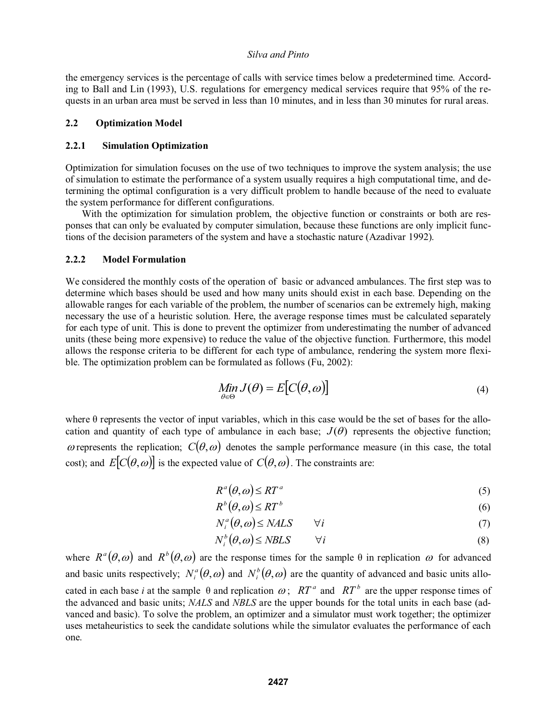the emergency services is the percentage of calls with service times below a predetermined time. According to Ball and Lin (1993), U.S. regulations for emergency medical services require that 95% of the requests in an urban area must be served in less than 10 minutes, and in less than 30 minutes for rural areas.

#### **2.2 Optimization Model**

#### **2.2.1 Simulation Optimization**

Optimization for simulation focuses on the use of two techniques to improve the system analysis; the use of simulation to estimate the performance of a system usually requires a high computational time, and determining the optimal configuration is a very difficult problem to handle because of the need to evaluate the system performance for different configurations.

 With the optimization for simulation problem, the objective function or constraints or both are responses that can only be evaluated by computer simulation, because these functions are only implicit functions of the decision parameters of the system and have a stochastic nature (Azadivar 1992).

#### **2.2.2 Model Formulation**

We considered the monthly costs of the operation of basic or advanced ambulances. The first step was to determine which bases should be used and how many units should exist in each base. Depending on the allowable ranges for each variable of the problem, the number of scenarios can be extremely high, making necessary the use of a heuristic solution. Here, the average response times must be calculated separately for each type of unit. This is done to prevent the optimizer from underestimating the number of advanced units (these being more expensive) to reduce the value of the objective function. Furthermore, this model allows the response criteria to be different for each type of ambulance, rendering the system more flexible. The optimization problem can be formulated as follows (Fu, 2002):

$$
\underset{\theta \in \Theta}{\text{Min } J(\theta) = E[C(\theta, \omega)]} \tag{4}
$$

where  $\theta$  represents the vector of input variables, which in this case would be the set of bases for the allocation and quantity of each type of ambulance in each base;  $J(\theta)$  represents the objective function;  $\omega$  represents the replication;  $C(\theta,\omega)$  denotes the sample performance measure (in this case, the total cost); and  $E[C(\theta, \omega)]$  is the expected value of  $C(\theta, \omega)$ . The constraints are:

$$
R^a(\theta,\omega) \le RT^a \tag{5}
$$

$$
R^b(\theta,\omega) \le RT^b \tag{6}
$$

$$
N_i^a(\theta, \omega) \le NALS \qquad \forall i \tag{7}
$$

$$
N_i^b(\theta, \omega) \le NBLS \qquad \forall i \tag{8}
$$

where  $R^a(\theta,\omega)$  and  $R^b(\theta,\omega)$  are the response times for the sample  $\theta$  in replication  $\omega$  for advanced and basic units respectively;  $N_i^a(\theta,\omega)$  and  $N_i^b(\theta,\omega)$  are the quantity of advanced and basic units allocated in each base *i* at the sample  $\theta$  and replication  $\omega$ ;  $RT^a$  and  $RT^b$  are the upper response times of the advanced and basic units; *NALS* and *NBLS* are the upper bounds for the total units in each base (advanced and basic). To solve the problem, an optimizer and a simulator must work together; the optimizer uses metaheuristics to seek the candidate solutions while the simulator evaluates the performance of each one.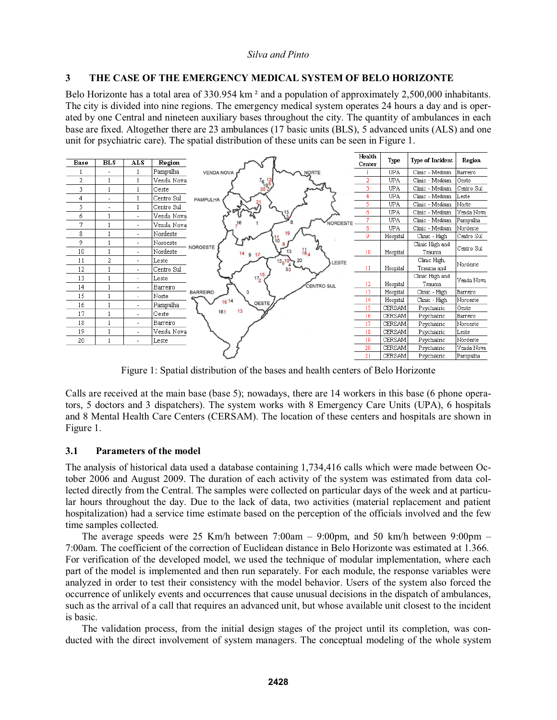### **3 THE CASE OF THE EMERGENCY MEDICAL SYSTEM OF BELO HORIZONTE**

Belo Horizonte has a total area of 330.954 km<sup>2</sup> and a population of approximately 2,500,000 inhabitants. The city is divided into nine regions. The emergency medical system operates 24 hours a day and is operated by one Central and nineteen auxiliary bases throughout the city. The quantity of ambulances in each base are fixed. Altogether there are 23 ambulances (17 basic units (BLS), 5 advanced units (ALS) and one unit for psychiatric care). The spatial distribution of these units can be seen in Figure 1.

| Base   | BLS | $\mathbf{A} \mathbf{L} \mathbf{S}$ | Region     |                          |                       | Health<br>Center | Type       | <b>Type of Incident</b> | Region     |
|--------|-----|------------------------------------|------------|--------------------------|-----------------------|------------------|------------|-------------------------|------------|
|        |     |                                    | Pampulha   | <b>VENDA NOVA</b>        | <b>NORTE</b>          |                  | UPA        | Clinic - Medium         | Barreiro   |
| 2      |     |                                    | Venda Nova |                          |                       | 2                | <b>UPA</b> | Clinic - Medium         | Oeste      |
| 3      |     |                                    | Oeste      | $\frac{76}{196}$<br>202/ |                       | 3                | <b>UPA</b> | Clinic - Medium         | Centro Sul |
| 4      |     |                                    | Centro Sul | <b>PAMPULHA</b>          |                       | 4                | UPA        | Clinic - Medium         | Leste      |
| 5      |     |                                    | Centro Sul | 왻                        |                       | 5                | UPA        | - Medium<br>Clinic      | Norte      |
| 6      |     | $\overline{\phantom{a}}$           | Venda Nova |                          |                       | 6                | UPA        | Clinic - Medium         | Venda Nova |
| 7      |     |                                    | Venda Nova |                          | NORDESTE              | ă,               | UPA        | Clinic - Medium         | Pampulha   |
|        |     |                                    |            |                          |                       | 8                | <b>UPA</b> | Clinic - Medium         | Nordeste   |
| 8      |     |                                    | Nordeste   |                          | 19                    | 9                | Hospital   | Clinic - High           | Centro Sul |
| 9      |     | ٠                                  | Noroeste   | <b>NOROESTE</b>          | 10                    |                  |            | Clinic High and         |            |
| 10     |     |                                    | Nordeste   | 14<br>9 <sub>17</sub>    | $\frac{11}{18}$<br>13 | 10               | Hospital   | Trauma                  | Centro Sul |
| 11     | 2   | ٠                                  | Leste      |                          | 12g10<br>20<br>LESTE  |                  |            | Clinic High,            | Nordeste   |
| 12     |     | ۰                                  | Centro Sul |                          | 53                    | 11               | Hospital   | Trauma and              |            |
| 13     |     |                                    | Leste      | $17^{15}_{2}$            |                       |                  |            | Clinic High and         | Venda Nova |
| 14     |     | ٠                                  | Barreiro   |                          | <b>CENTRO SUL</b>     | 12               | Hospital   | Trauma                  |            |
| 15     |     | ٠                                  | Norte      | <b>BARREIRO</b><br>3     |                       | 13               | Hospital   | Clinic - High           | Barreiro   |
| 16     |     |                                    | Pampulha   | 6 14<br><b>OESTE</b>     |                       | 14               | Hospital   | Clinic - High           | Noroeste   |
|        |     |                                    |            | 13<br>181                |                       | 15               | CERSAM     | Psychiatric             | Oeste      |
| 17     |     |                                    | Oeste      |                          |                       | 16               | CERSAM     | Psychiatric             | Barreiro   |
| 18     |     | $\overline{\phantom{a}}$           | Barreiro   |                          |                       | 17               | CERSAM     | Psychiatric             | Noroeste   |
| 19     |     | ٠                                  | Venda Nova |                          |                       | 18               | CERSAM     | Psychiatric             | Leste      |
| $20\,$ |     | ۰                                  | Leste      |                          |                       | 19               | CERSAM     | Psychiatric             | Nordeste   |
|        |     |                                    |            |                          |                       | 20               | CERSAM     | Psychiatric             | Venda Nova |
|        |     |                                    |            |                          |                       | 21               | CERSAM     | Psychiatric             | Pampulha   |

Figure 1: Spatial distribution of the bases and health centers of Belo Horizonte

Calls are received at the main base (base 5); nowadays, there are 14 workers in this base (6 phone operators, 5 doctors and 3 dispatchers). The system works with 8 Emergency Care Units (UPA), 6 hospitals and 8 Mental Health Care Centers (CERSAM). The location of these centers and hospitals are shown in Figure 1.

## **3.1 Parameters of the model**

The analysis of historical data used a database containing 1,734,416 calls which were made between October 2006 and August 2009. The duration of each activity of the system was estimated from data collected directly from the Central. The samples were collected on particular days of the week and at particular hours throughout the day. Due to the lack of data, two activities (material replacement and patient hospitalization) had a service time estimate based on the perception of the officials involved and the few time samples collected.

The average speeds were 25 Km/h between 7:00am  $-$  9:00pm, and 50 km/h between 9:00pm  $-$ 7:00am. The coefficient of the correction of Euclidean distance in Belo Horizonte was estimated at 1.366. For verification of the developed model, we used the technique of modular implementation, where each part of the model is implemented and then run separately. For each module, the response variables were analyzed in order to test their consistency with the model behavior. Users of the system also forced the occurrence of unlikely events and occurrences that cause unusual decisions in the dispatch of ambulances, such as the arrival of a call that requires an advanced unit, but whose available unit closest to the incident is basic.

 The validation process, from the initial design stages of the project until its completion, was conducted with the direct involvement of system managers. The conceptual modeling of the whole system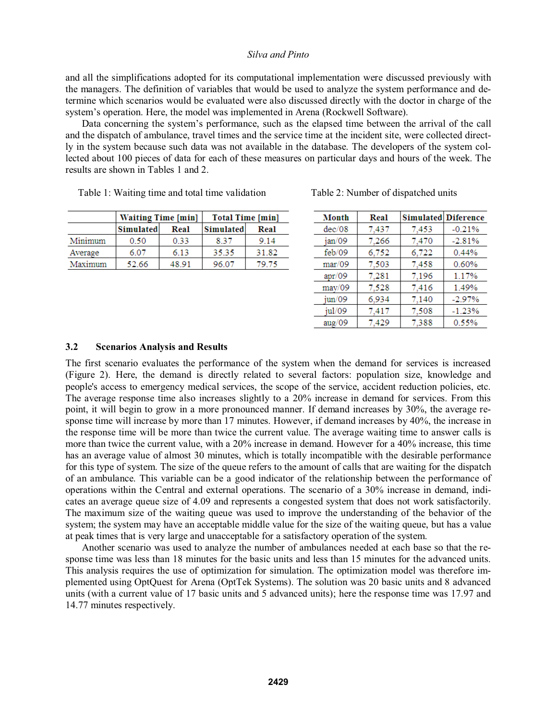and all the simplifications adopted for its computational implementation were discussed previously with the managers. The definition of variables that would be used to analyze the system performance and determine which scenarios would be evaluated were also discussed directly with the doctor in charge of the system's operation. Here, the model was implemented in Arena (Rockwell Software).

Data concerning the system's performance, such as the elapsed time between the arrival of the call and the dispatch of ambulance, travel times and the service time at the incident site, were collected directly in the system because such data was not available in the database. The developers of the system collected about 100 pieces of data for each of these measures on particular days and hours of the week. The results are shown in Tables 1 and 2.

|         | <b>Waiting Time [min]</b> |       | <b>Total Time [min]</b> |       |  |
|---------|---------------------------|-------|-------------------------|-------|--|
|         | <b>Simulated</b>          | Real  | <b>Simulated</b>        | Real  |  |
| Minimum | 0.50                      | 0.33  | 8.37                    | 9 1 4 |  |
| Average | 6.07                      | 6.13  | 35.35                   | 31.82 |  |
| Maximum | 52.66                     | 48.91 | 96.07                   | 79.75 |  |

Table 1: Waiting time and total time validation Table 2: Number of dispatched units

| Month  | Real  | <b>Simulated Diference</b> |          |
|--------|-------|----------------------------|----------|
| dec/08 | 7,437 | 7,453                      | $-0.21%$ |
| jan/09 | 7,266 | 7,470                      | $-2.81%$ |
| feb/09 | 6,752 | 6,722                      | 0.44%    |
| mar/09 | 7,503 | 7,458                      | 0.60%    |
| apr/09 | 7,281 | 7,196                      | 1.17%    |
| may/09 | 7.528 | 7,416                      | 1.49%    |
| jun/09 | 6.934 | 7,140                      | $-2.97%$ |
| jul/09 | 7,417 | 7,508                      | $-1.23%$ |
| aug/09 | 7,429 | 7,388                      | 0.55%    |

### **3.2 Scenarios Analysis and Results**

The first scenario evaluates the performance of the system when the demand for services is increased (Figure 2). Here, the demand is directly related to several factors: population size, knowledge and people's access to emergency medical services, the scope of the service, accident reduction policies, etc. The average response time also increases slightly to a 20% increase in demand for services. From this point, it will begin to grow in a more pronounced manner. If demand increases by 30%, the average response time will increase by more than 17 minutes. However, if demand increases by 40%, the increase in the response time will be more than twice the current value. The average waiting time to answer calls is more than twice the current value, with a 20% increase in demand. However for a 40% increase, this time has an average value of almost 30 minutes, which is totally incompatible with the desirable performance for this type of system. The size of the queue refers to the amount of calls that are waiting for the dispatch of an ambulance. This variable can be a good indicator of the relationship between the performance of operations within the Central and external operations. The scenario of a 30% increase in demand, indicates an average queue size of 4.09 and represents a congested system that does not work satisfactorily. The maximum size of the waiting queue was used to improve the understanding of the behavior of the system; the system may have an acceptable middle value for the size of the waiting queue, but has a value at peak times that is very large and unacceptable for a satisfactory operation of the system.

 Another scenario was used to analyze the number of ambulances needed at each base so that the response time was less than 18 minutes for the basic units and less than 15 minutes for the advanced units. This analysis requires the use of optimization for simulation. The optimization model was therefore implemented using OptQuest for Arena (OptTek Systems). The solution was 20 basic units and 8 advanced units (with a current value of 17 basic units and 5 advanced units); here the response time was 17.97 and 14.77 minutes respectively.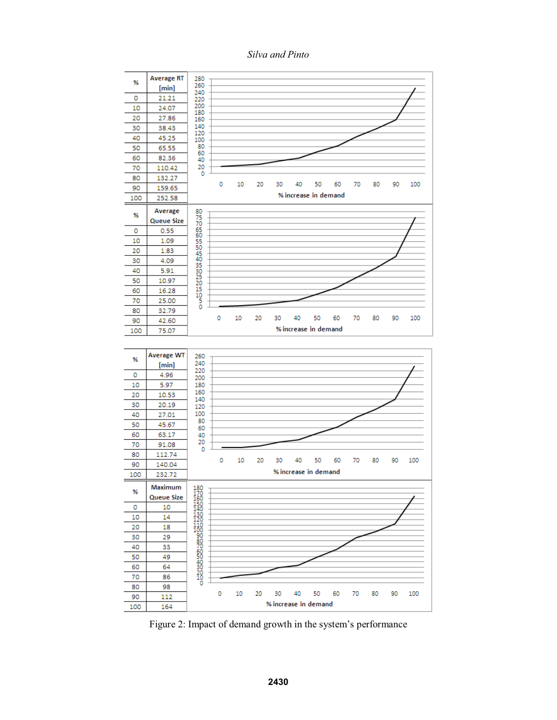

Figure 2: Impact of demand growth in the system's performance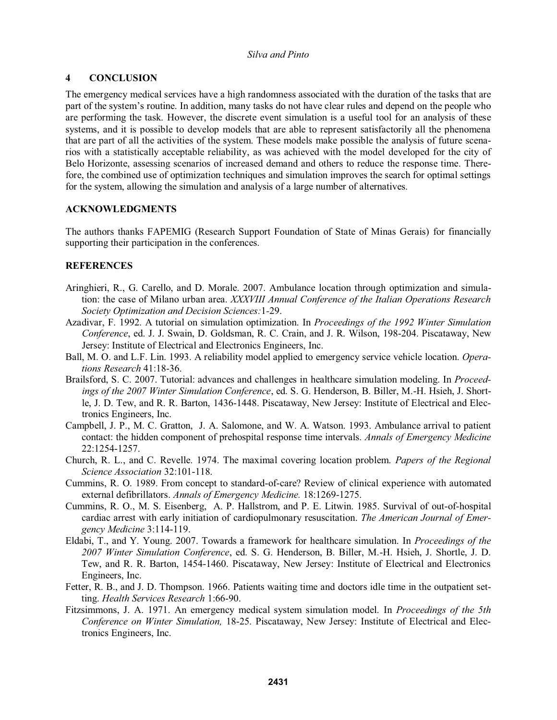# **4 CONCLUSION**

The emergency medical services have a high randomness associated with the duration of the tasks that are part of the system's routine. In addition, many tasks do not have clear rules and depend on the people who are performing the task. However, the discrete event simulation is a useful tool for an analysis of these systems, and it is possible to develop models that are able to represent satisfactorily all the phenomena that are part of all the activities of the system. These models make possible the analysis of future scenarios with a statistically acceptable reliability, as was achieved with the model developed for the city of Belo Horizonte, assessing scenarios of increased demand and others to reduce the response time. Therefore, the combined use of optimization techniques and simulation improves the search for optimal settings for the system, allowing the simulation and analysis of a large number of alternatives.

## **ACKNOWLEDGMENTS**

The authors thanks FAPEMIG (Research Support Foundation of State of Minas Gerais) for financially supporting their participation in the conferences.

# **REFERENCES**

- Aringhieri, R., G. Carello, and D. Morale. 2007. Ambulance location through optimization and simulation: the case of Milano urban area. *XXXVIII Annual Conference of the Italian Operations Research Society Optimization and Decision Sciences:*1*-*29.
- Azadivar, F. 1992. A tutorial on simulation optimization. In *Proceedings of the 1992 Winter Simulation Conference*, ed. J. J. Swain, D. Goldsman, R. C. Crain, and J. R. Wilson, 198-204. Piscataway, New Jersey: Institute of Electrical and Electronics Engineers, Inc.
- Ball, M. O. and L.F. Lin. 1993. A reliability model applied to emergency service vehicle location. *Operations Research* 41:18-36.
- Brailsford, S. C. 2007. Tutorial: advances and challenges in healthcare simulation modeling. In *Proceedings of the 2007 Winter Simulation Conference*, ed. S. G. Henderson, B. Biller, M.-H. Hsieh, J. Shortle, J. D. Tew, and R. R. Barton, 1436-1448. Piscataway, New Jersey: Institute of Electrical and Electronics Engineers, Inc.
- Campbell, J. P., M. C. Gratton, J. A. Salomone, and W. A. Watson. 1993. Ambulance arrival to patient contact: the hidden component of prehospital response time intervals. *Annals of Emergency Medicine*  22:1254-1257.
- Church, R. L., and C. Revelle. 1974. The maximal covering location problem. *Papers of the Regional Science Association* 32:101-118.
- Cummins, R. O. 1989. From concept to standard-of-care? Review of clinical experience with automated external defibrillators. *Annals of Emergency Medicine.* 18:1269-1275.
- Cummins, R. O., M. S. Eisenberg, A. P. Hallstrom, and P. E. Litwin. 1985. Survival of out-of-hospital cardiac arrest with early initiation of cardiopulmonary resuscitation. *The American Journal of Emergency Medicine* 3:114-119.
- Eldabi, T., and Y. Young. 2007. Towards a framework for healthcare simulation. In *Proceedings of the 2007 Winter Simulation Conference*, ed. S. G. Henderson, B. Biller, M.-H. Hsieh, J. Shortle, J. D. Tew, and R. R. Barton, 1454-1460. Piscataway, New Jersey: Institute of Electrical and Electronics Engineers, Inc.
- Fetter, R. B., and J. D. Thompson. 1966. Patients waiting time and doctors idle time in the outpatient setting. *Health Services Research* 1:66-90.
- Fitzsimmons, J. A. 1971. An emergency medical system simulation model. In *Proceedings of the 5th Conference on Winter Simulation,* 18-25. Piscataway, New Jersey: Institute of Electrical and Electronics Engineers, Inc.